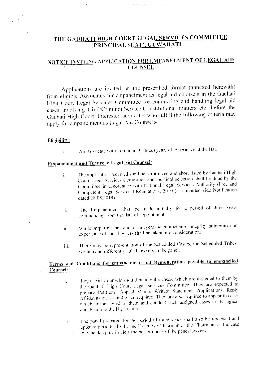### THE GAUHATI HIGH COURT LEGAL SERVICES COMMITTEE (PRINCIPAL SEAT), GUWAHATI

### NOTICE INVITING APPLICATION FOR EMPANELMENT OF LEGAL AID **COUNSEL**

Applications are invited, in the prescribed format (annexed herewith) from eligible Advocates for empanelment as legal aid counsels in the Gauhati High Court Legal Services Committee for conducting and handling legal aid cases involving Civil/Criminal Service Constitutional matters etc. before the Gauhati High Court. Interested advocates who fulfill the following criteria may apply for empanelment as Legal Aid Counsel:-

#### Eligibility:

An Advocate with minimum 3 (three) years of experience at the Bar. i.

# **Empanelment and Tenure of Legal Aid Counsel:**

- The application received shall be scrutinized and short listed by Gauhati High i. Court Legal Services Committee and the final selection shall be done by the Committee in accordance with National Legal Services Authority (Free and Competent Legal Services) Regulations, 2010 (as amended vide Notification dated 28.08.2019).
- The Empanelment shall be made initially for a period of three years ii. commencing from the date of appointment.
- While preparing the panel of lawyers the competence, integrity, suitability and iii. experience of such lawyers shall be taken into consideration.
- There may be representation of the Scheduled Castes, the Scheduled Tribes, iii. women and differently abled lawyers in the panel.

### Terms and Conditions for empanelment and Remuneration payable to empanelled Counsel:

- Legal Aid Counsels should handle the cases, which are assigned to them by  $\mathbf{i}$ . the Gauhati High Court Legal Services Committee. They are expected to prepare Petitions. Appeal Memo. Written Statement, Applications, Reply Affidavits etc. as and when required. They are also required to appear in cases which are assigned to them and conduct such assigned cases to its logical conclusion in the High Court.
- The panel prepared for the period of three years shall also be reviewed and ii. updated periodically by the Executive Chairman or the Chairman, as the case may be, keeping in view the performance of the panel lawyers.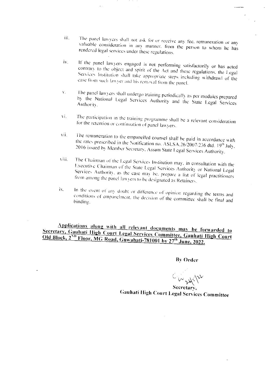- The panel lawyers shall not ask for or receive any fee, remuneration or any iii. valuable consideration in any manner, from the person to whom he has rendered legal services under these regulations.
- If the panel lawyers engaged is not performing satisfactorily or has acted  $iv$ contrary to the object and spirit of the Act and these regulations, the Legal Services Institution shall take appropriate steps including withdrawl of the case from such lawyer and his removal from the panel.
- The panel lawyers shall undergo training periodically as per modules prepared  $\bar{V}_\perp$ by the National Legal Services Authority and the State Legal Services Authority.
- The participation in the training programme shall be a relevant consideration vi. for the retention or continuation of panel lawyers.
- vii. The remuneration to the empanelled counsel shall be paid in accordance with the rates prescribed in the Notification no. ASLSA.26/2007/236 dtd.  $19<sup>th</sup>$  July. 2016 issued by Member Secretary, Assam State Legal Services Authority.
- The Chairman of the Legal Services Institution may, in consultation with the viii. Executive Chairman of the State Legal Services Authority or National Legal Services Authority, as the case may be, prepare a list of legal practitioners from among the panel lawyers to be designated as Retainers.
- In the event of any doubt or difference of opinion regarding the terms and ix. conditions of empanelment, the decision of the committee shall be final and binding.

Applications along with all relevant documents may be forwarded to Secretary, Gauhati High Court Legal Services Committee, Gauhati High Court Old Block, 2<sup>ND</sup> Floor, MG Road, Guwahati-781001 by 27<sup>th</sup> June, 2022.

**By Order** 

Cingulati Secretary,

Gauhati High Court Legal Services Committee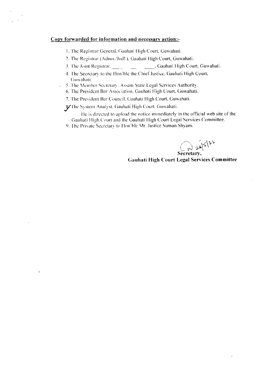#### Copy forwarded for information and necessary action:-

 $\overline{a}$ 

- 1. The Registrar General, Gauhati High Court, Guwahati.
- 2. The Registrar (Admn./Judl.), Gauhati High Court, Guwahati.
- 
- 4. The Secretary to the Hon'ble the Chief Justice. Gauhati High Court, Guwahati.
- 5. The Member Secretary, Assam State Legal Services Authority.
- 6. The President Bar Association, Gauhati High Court, Guwahati.
- 7. The President Bar Council. Gauhati High Court, Guwahati.
- S/The System Analyst, Gauhati High Court, Guwahati.

He is directed to upload the notice immediately in the official web site of the Gauhati High Court and the Gauhati High Court Legal Services Committee.

9. The Private Secretary to Hon'ble Mr. Justice Suman Shyam.

Secretary,

**Gauhati High Court Legal Services Committee**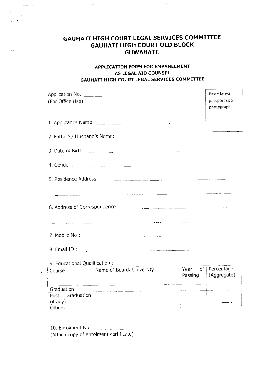## GAUHATI HIGH COURT LEGAL SERVICES COMMITTEE **GAUHATI HIGH COURT OLD BLOCK GUWAHATI.**

للمناديب

 $\sim$   $\sim$ 

سيستعدد المتعاري

 $\ddot{\phantom{a}}$ 

 $\bar{\mathcal{A}}$ 

#### APPLICATION FORM FOR EMPANELMENT AS LEGAL AID COUNSEL GAUHATI HIGH COURT LEGAL SERVICES COMMITTEE

| (For Office Use)                                                                                                                                                                                                                   | Paste latest<br>passport size<br>photograph |
|------------------------------------------------------------------------------------------------------------------------------------------------------------------------------------------------------------------------------------|---------------------------------------------|
|                                                                                                                                                                                                                                    |                                             |
|                                                                                                                                                                                                                                    |                                             |
|                                                                                                                                                                                                                                    |                                             |
| 4. Gender : <u>2004 : 2004</u> : 2006 : 2006 : 2006 : 2007 : 2008 : 2008 : 2008 : 2008 : 2008 : 2008 : 2008 : 2008 : 2008 : 2008 : 2008 : 2008 : 2008 : 2008 : 2008 : 2008 : 2008 : 2008 : 2008 : 2008 : 2008 : 2008 : 2008 : 2008 |                                             |
|                                                                                                                                                                                                                                    |                                             |
| مستقل المستقل المستقل المستقل المستقل المستقل المنابي المستقل المستقل المستقل المستقل                                                                                                                                              |                                             |
| 7. Mobile No: $\frac{1}{2}$<br>المحامل والمستقل والمستوفي والمرادي ويستنا                                                                                                                                                          |                                             |
| 8. Email ID:<br><u> 1980 - Jan James Barnett, martin de la provincia de la provincia de la provincia de la provincia de la provincia</u>                                                                                           |                                             |
| 9. Educational Qualification:<br>Name of Board/ University The Theory of Percentage                                                                                                                                                |                                             |
| Course                                                                                                                                                                                                                             | Passing (Aggregate)                         |
| الطبيسة سامست والمتحدث<br>Graduation<br>Post<br>Graduation<br>(if any)<br>Others                                                                                                                                                   |                                             |

(Attach copy of enrolment certificate)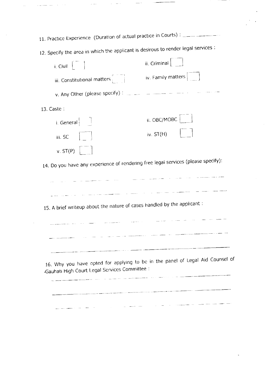| 12. Specify the area in which the applicant is desirous to render legal services :<br>ii. Criminal $\Big $<br>iv. Family matters $\vert$ $\vert$ $\vert$<br>v. Any Other (please specify) : and the manufacturer and the contract of |
|--------------------------------------------------------------------------------------------------------------------------------------------------------------------------------------------------------------------------------------|
|                                                                                                                                                                                                                                      |
|                                                                                                                                                                                                                                      |
|                                                                                                                                                                                                                                      |
|                                                                                                                                                                                                                                      |
|                                                                                                                                                                                                                                      |
| ii. OBC/MOBC                                                                                                                                                                                                                         |
| iv. $ST(H)$                                                                                                                                                                                                                          |
|                                                                                                                                                                                                                                      |
| 14. Do you have any experience of rendering free legal services (please specify):                                                                                                                                                    |
|                                                                                                                                                                                                                                      |
| متواضعها المتعلقة العباري المتناسبينية الموارد المتوارد والمراري والمتعلقة والمستخدم والمستحققين المساري والمسار                                                                                                                     |
| 15. A brief writeup about the nature of cases handled by the applicant:                                                                                                                                                              |
|                                                                                                                                                                                                                                      |
|                                                                                                                                                                                                                                      |
|                                                                                                                                                                                                                                      |
| 16. Why you have opted for applying to be in the panel of Legal Aid Counsel of                                                                                                                                                       |
|                                                                                                                                                                                                                                      |

 $\mathcal{L}_{\text{max}}$  and  $\mathcal{L}_{\text{max}}$  . The same  $\mathcal{L}_{\text{max}}$ 

المتألف المستقبل المتألف المتألف

 $\mathcal{A}^{\mathcal{A}}$ 

الأرابيب المراديسيات المحامسين والمتعارفات  $\begin{tabular}{lllllllllllll} \multicolumn{2}{l}{{\color{red}\hbox{1}}}\\ \multicolumn{2}{l}{\color{blue}\hbox{1}}&\multicolumn{2}{l}{\color{blue}\hbox{1}}&\multicolumn{2}{l}{\color{blue}\hbox{1}}&\multicolumn{2}{l}{\color{blue}\hbox{1}}&\multicolumn{2}{l}{\color{blue}\hbox{1}}&\multicolumn{2}{l}{\color{blue}\hbox{1}}&\multicolumn{2}{l}{\color{blue}\hbox{1}}&\multicolumn{2}{l}{\color{blue}\hbox{1}}&\multicolumn{2}{l}{\color{blue}\hbox{1}}&\multicolumn{$  $\omega_{\rm c}$  and  $\omega_{\rm c}$  are  $\omega_{\rm c}$  , where  $\omega_{\rm c}$  $\mathcal{L}_{\mathrm{eff}}$ 

 $\mathbb{Z}^{\mathbb{Z}}$